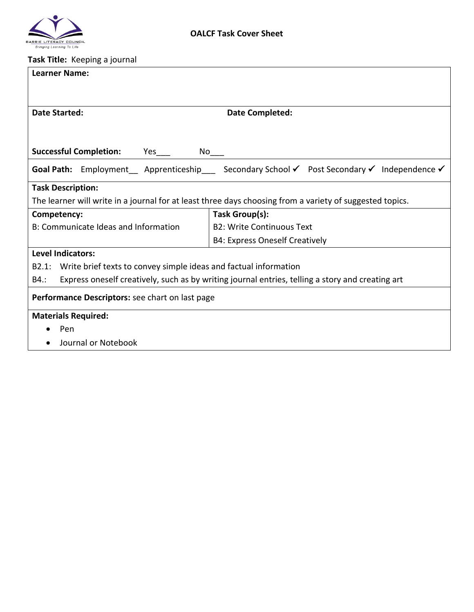

## **Task Title:** Keeping a journal

| <b>Learner Name:</b>                                                                                     |                                                                                         |  |  |
|----------------------------------------------------------------------------------------------------------|-----------------------------------------------------------------------------------------|--|--|
|                                                                                                          |                                                                                         |  |  |
|                                                                                                          |                                                                                         |  |  |
| <b>Date Started:</b>                                                                                     | <b>Date Completed:</b>                                                                  |  |  |
|                                                                                                          |                                                                                         |  |  |
| <b>Successful Completion:</b><br>Yes<br>No l                                                             |                                                                                         |  |  |
|                                                                                                          | Goal Path: Employment Apprenticeship Secondary School V Post Secondary V Independence V |  |  |
| <b>Task Description:</b>                                                                                 |                                                                                         |  |  |
| The learner will write in a journal for at least three days choosing from a variety of suggested topics. |                                                                                         |  |  |
| Competency:                                                                                              | Task Group(s):                                                                          |  |  |
| B: Communicate Ideas and Information                                                                     | <b>B2: Write Continuous Text</b>                                                        |  |  |
|                                                                                                          | B4: Express Oneself Creatively                                                          |  |  |
| <b>Level Indicators:</b>                                                                                 |                                                                                         |  |  |
| B2.1: Write brief texts to convey simple ideas and factual information                                   |                                                                                         |  |  |
| Express oneself creatively, such as by writing journal entries, telling a story and creating art<br>B4.: |                                                                                         |  |  |
| Performance Descriptors: see chart on last page                                                          |                                                                                         |  |  |
| <b>Materials Required:</b>                                                                               |                                                                                         |  |  |
| Pen<br>$\bullet$                                                                                         |                                                                                         |  |  |
| Journal or Notebook                                                                                      |                                                                                         |  |  |
|                                                                                                          |                                                                                         |  |  |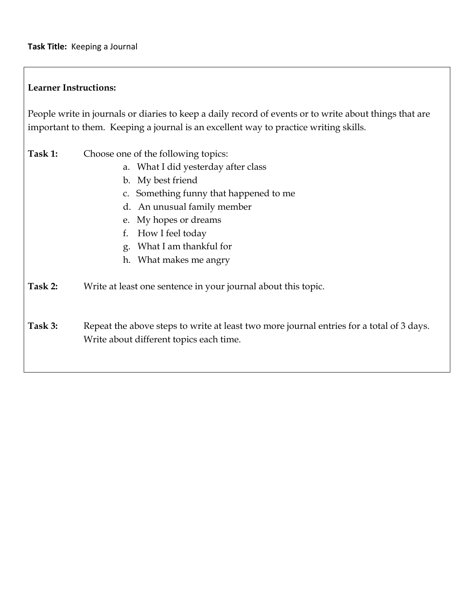## **Learner Instructions:**

People write in journals or diaries to keep a daily record of events or to write about things that are important to them. Keeping a journal is an excellent way to practice writing skills.

- **Task 1:** Choose one of the following topics:
	- a. What I did yesterday after class
	- b. My best friend
	- c. Something funny that happened to me
	- d. An unusual family member
	- e. My hopes or dreams
	- f. How I feel today
	- g. What I am thankful for
	- h. What makes me angry
- **Task 2:** Write at least one sentence in your journal about this topic.
- Task 3: Repeat the above steps to write at least two more journal entries for a total of 3 days. Write about different topics each time.